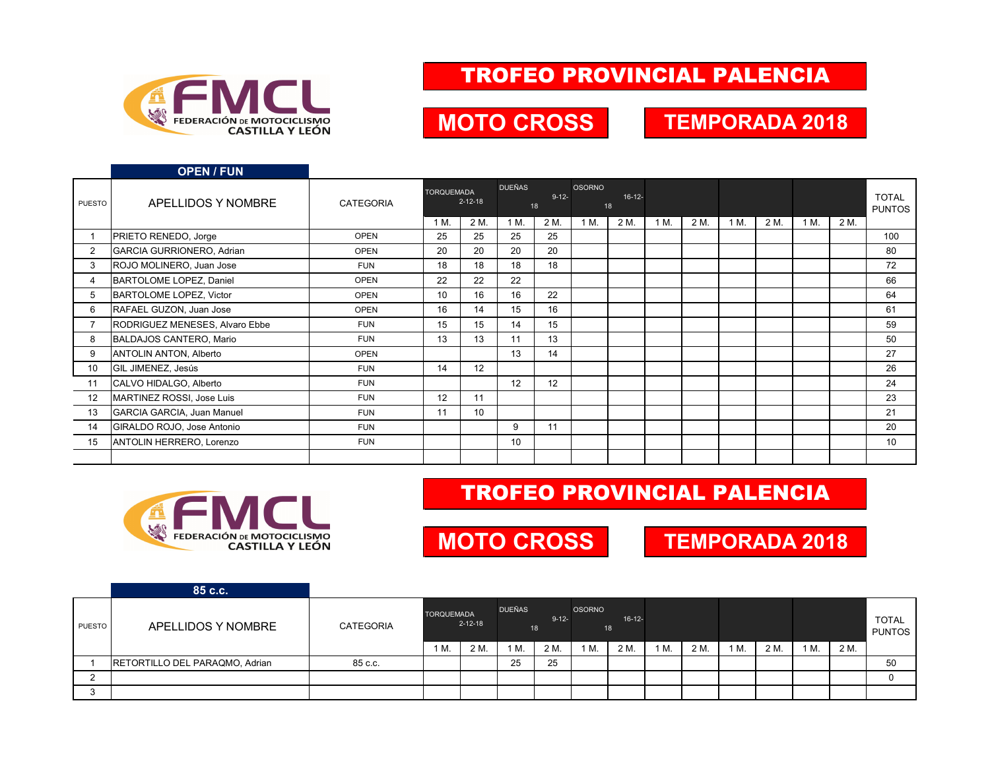

#### TROFEO PROVINCIAL PALENCIA

### **MOTO CROSS TEMPORADA 2018**

|        | <b>OPEN / FUN</b>                 |                  |                   |                 |                 |                  |               |                |      |      |      |      |      |      |                               |
|--------|-----------------------------------|------------------|-------------------|-----------------|-----------------|------------------|---------------|----------------|------|------|------|------|------|------|-------------------------------|
| PUESTO | APELLIDOS Y NOMBRE                | <b>CATEGORIA</b> | <b>TORQUEMADA</b> | $2 - 12 - 18$   | <b>DUEÑAS</b>   | $9 - 12 -$<br>18 | <b>OSORNO</b> | $16-12-$<br>18 |      |      |      |      |      |      | <b>TOTAL</b><br><b>PUNTOS</b> |
|        |                                   |                  | 1 M.              | 2 M.            | 1 M.            | 2 M.             | 1 M.          | 2 M.           | 1 M. | 2 M. | 1 M. | 2 M. | 1 M. | 2 M. |                               |
|        | PRIETO RENEDO, Jorge              | <b>OPEN</b>      | 25                | 25              | 25              | 25               |               |                |      |      |      |      |      |      | 100                           |
| 2      | GARCIA GURRIONERO, Adrian         | <b>OPEN</b>      | 20                | 20              | 20              | 20               |               |                |      |      |      |      |      |      | 80                            |
| 3      | ROJO MOLINERO, Juan Jose          | <b>FUN</b>       | 18                | 18              | 18              | 18               |               |                |      |      |      |      |      |      | 72                            |
| 4      | BARTOLOME LOPEZ, Daniel           | <b>OPEN</b>      | 22                | 22              | 22              |                  |               |                |      |      |      |      |      |      | 66                            |
| 5      | <b>BARTOLOME LOPEZ, Victor</b>    | <b>OPEN</b>      | 10                | 16              | 16              | 22               |               |                |      |      |      |      |      |      | 64                            |
| 6      | RAFAEL GUZON, Juan Jose           | <b>OPEN</b>      | 16                | 14              | 15              | 16               |               |                |      |      |      |      |      |      | 61                            |
|        | RODRIGUEZ MENESES, Alvaro Ebbe    | <b>FUN</b>       | 15                | 15              | 14              | 15               |               |                |      |      |      |      |      |      | 59                            |
| 8      | BALDAJOS CANTERO, Mario           | <b>FUN</b>       | 13                | 13              | 11              | 13               |               |                |      |      |      |      |      |      | 50                            |
| 9      | <b>ANTOLIN ANTON, Alberto</b>     | <b>OPEN</b>      |                   |                 | 13              | 14               |               |                |      |      |      |      |      |      | 27                            |
| 10     | GIL JIMENEZ, Jesús                | <b>FUN</b>       | 14                | 12              |                 |                  |               |                |      |      |      |      |      |      | 26                            |
| 11     | CALVO HIDALGO, Alberto            | <b>FUN</b>       |                   |                 | 12              | 12               |               |                |      |      |      |      |      |      | 24                            |
| 12     | MARTINEZ ROSSI, Jose Luis         | <b>FUN</b>       | 12                | 11              |                 |                  |               |                |      |      |      |      |      |      | 23                            |
| 13     | <b>GARCIA GARCIA, Juan Manuel</b> | <b>FUN</b>       | 11                | 10 <sup>1</sup> |                 |                  |               |                |      |      |      |      |      |      | 21                            |
| 14     | GIRALDO ROJO, Jose Antonio        | <b>FUN</b>       |                   |                 | 9               | 11               |               |                |      |      |      |      |      |      | 20                            |
| 15     | ANTOLIN HERRERO, Lorenzo          | <b>FUN</b>       |                   |                 | 10 <sup>1</sup> |                  |               |                |      |      |      |      |      |      | 10                            |
|        |                                   |                  |                   |                 |                 |                  |               |                |      |      |      |      |      |      |                               |



#### TROFEO PROVINCIAL PALENCIA

### **MOTO CROSS TEMPORADA 2018**

|               | 85 c.c.                        |                  |                                    |      |                                   |      |                                    |      |      |      |    |      |      |      |                               |
|---------------|--------------------------------|------------------|------------------------------------|------|-----------------------------------|------|------------------------------------|------|------|------|----|------|------|------|-------------------------------|
| <b>PUESTO</b> | APELLIDOS Y NOMBRE             | <b>CATEGORIA</b> | <b>TORQUEMADA</b><br>$2 - 12 - 18$ |      | <b>DUEÑAS</b><br>$9 - 12 -$<br>18 |      | <b>OSORNO</b><br>$16 - 12 -$<br>18 |      |      |      |    |      |      |      | <b>TOTAL</b><br><b>PUNTOS</b> |
|               |                                |                  | 1 M.                               | 2 M. | 1 M.                              | 2 M. | M.                                 | 2 M. | 1 M. | 2 M. | M. | 2 M. | 1 M. | 2 M. |                               |
|               | RETORTILLO DEL PARAQMO, Adrian | 85 c.c.          |                                    |      | 25                                | 25   |                                    |      |      |      |    |      |      |      | 50                            |
|               |                                |                  |                                    |      |                                   |      |                                    |      |      |      |    |      |      |      |                               |
|               |                                |                  |                                    |      |                                   |      |                                    |      |      |      |    |      |      |      |                               |